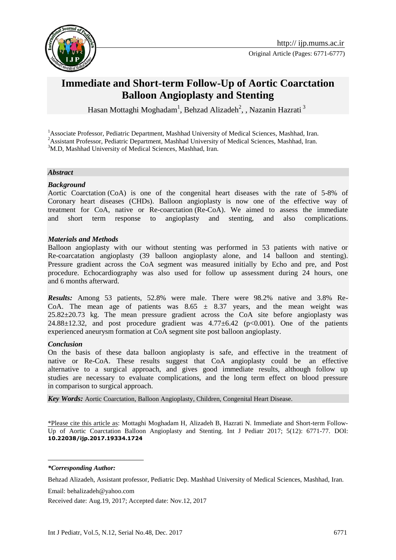

# **Immediate and Short-term Follow-Up of Aortic Coarctation Balloon Angioplasty and Stenting**

Hasan Mottaghi Moghadam<sup>1</sup>, Behzad Alizadeh<sup>2</sup>, , Nazanin Hazrati<sup>3</sup>

<sup>1</sup>Associate Professor, Pediatric Department, Mashhad University of Medical Sciences, Mashhad, Iran. <sup>2</sup>Assistant Professor, Pediatric Department, Mashhad University of Medical Sciences, Mashhad, Iran. <sup>3</sup>M.D, Mashhad University of Medical Sciences, Mashhad, Iran.

#### *Abstract*

#### *Background*

Aortic Coarctation (CoA) is one of the congenital heart diseases with the rate of 5-8% of Coronary heart diseases (CHDs). Balloon angioplasty is now one of the effective way of treatment for CoA, native or Re-coarctation (Re-CoA). We aimed to assess the immediate and short term response to angioplasty and stenting, and also complications.

#### *Materials and Methods*

Balloon angioplasty with our without stenting was performed in 53 patients with native or Re-coarcatation angioplasty (39 balloon angioplasty alone, and 14 balloon and stenting). Pressure gradient across the CoA segment was measured initially by Echo and pre, and Post procedure. Echocardiography was also used for follow up assessment during 24 hours, one and 6 months afterward.

*Results:* Among 53 patients, 52.8% were male. There were 98.2% native and 3.8% Re-CoA. The mean age of patients was  $8.65 \pm 8.37$  years, and the mean weight was 25.82±20.73 kg. The mean pressure gradient across the CoA site before angioplasty was 24.88 $\pm$ 12.32, and post procedure gradient was 4.77 $\pm$ 6.42 (p<0.001). One of the patients experienced aneurysm formation at CoA segment site post balloon angioplasty.

#### *Conclusion*

On the basis of these data balloon angioplasty is safe, and effective in the treatment of native or Re-CoA. These results suggest that CoA angioplasty could be an effective alternative to a surgical approach, and gives good immediate results, although follow up studies are necessary to evaluate complications, and the long term effect on blood pressure in comparison to surgical approach.

*Key Words:* [Aortic Coarctation,](http://ijp.mums.ac.ir/?_action=article&kw=21494&_kw=Aortic+coarctation) [Balloon Angioplasty,](http://ijp.mums.ac.ir/?_action=article&kw=21495&_kw=Balloon+angioplasty) [Children,](http://ijp.mums.ac.ir/?_action=article&kw=261&_kw=children) [Congenital Heart Disease.](http://ijp.mums.ac.ir/?_action=article&kw=5852&_kw=Congenital+heart+disease)

\*Please cite this article as: Mottaghi Moghadam H, Alizadeh B, Hazrati N. Immediate and Short-term Follow-Up of Aortic Coarctation Balloon Angioplasty and Stenting. Int J Pediatr 2017; 5(12): 6771-77. DOI: **10.22038/ijp.2017.19334.1724**

*\*Corresponding Author:*

1

Behzad Alizadeh, Assistant professor, Pediatric Dep. Mashhad University of Medical Sciences, Mashhad, Iran.

Email: behalizadeh@yahoo.com

Received date: Aug.19, 2017; Accepted date: Nov.12, 2017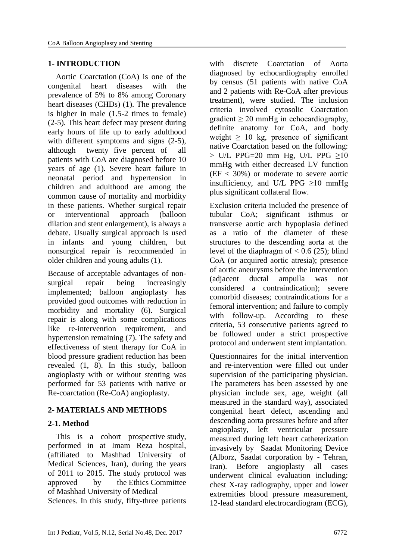#### **1- INTRODUCTION**

 Aortic Coarctation (CoA) is one of the congenital heart diseases with the prevalence of 5% to 8% among Coronary heart diseases (CHDs) (1). The prevalence is higher in male (1.5-2 times to female) (2-5). This heart defect may present during early hours of life up to early adulthood with different symptoms and signs  $(2-5)$ , although twenty five percent of all patients with CoA are diagnosed before 10 years of age (1). Severe heart failure in neonatal period and hypertension in children and adulthood are among the common cause of mortality and morbidity in these patients. Whether surgical repair or interventional approach (balloon dilation and stent enlargement), is always a debate. Usually surgical approach is used in infants and young children, but nonsurgical repair is recommended in older children and young adults (1).

Because of acceptable advantages of nonsurgical repair being increasingly implemented; balloon angioplasty has provided good outcomes with reduction in morbidity and mortality (6). Surgical repair is along with some complications like re-intervention requirement, and hypertension remaining (7). The safety and effectiveness of stent therapy for CoA in blood pressure gradient reduction has been revealed (1, 8). In this study, balloon angioplasty with or without stenting was performed for 53 patients with native or Re-coarctation (Re-CoA) angioplasty.

#### **2- MATERIALS AND METHODS**

### **2-1. Method**

 This is a cohort prospective study, performed in at Imam Reza hospital, (affiliated to Mashhad University of Medical Sciences, Iran), during the years of 2011 to 2015. The study protocol was approved by the Ethics Committee of Mashhad University of Medical Sciences. In this study, fifty-three patients with discrete Coarctation of Aorta diagnosed by echocardiography enrolled by census (51 patients with native CoA and 2 patients with Re-CoA after previous treatment), were studied. The inclusion criteria involved cytosolic Coarctation gradient  $\geq 20$  mmHg in echocardiography, definite anatomy for CoA, and body weight  $\geq 10$  kg, presence of significant native Coarctation based on the following: > U/L PPG=20 mm Hg, U/L PPG  $\geq 10$ mmHg with either decreased LV function  $(EF < 30\%)$  or moderate to severe aortic insufficiency, and U/L PPG  $\geq 10$  mmHg plus significant collateral flow.

Exclusion criteria included the presence of tubular CoA; significant isthmus or transverse aortic arch hypoplasia defined as a ratio of the diameter of these structures to the descending aorta at the level of the diaphragm of  $< 0.6$  (25); blind CoA (or acquired aortic atresia); presence of aortic aneurysms before the intervention (adjacent ductal ampulla was not considered a contraindication); severe comorbid diseases; contraindications for a femoral intervention; and failure to comply with follow-up. According to these criteria, 53 consecutive patients agreed to be followed under a strict prospective protocol and underwent stent implantation.

Questionnaires for the initial intervention and re-intervention were filled out under supervision of the participating physician. The parameters has been assessed by one physician include sex, age, weight (all measured in the standard way), associated congenital heart defect, ascending and descending aorta pressures before and after angioplasty, left ventricular pressure measured during left heart catheterization invasively by Saadat Monitoring Device (Alborz, Saadat corporation by - Tehran, Iran). Before angioplasty all cases underwent clinical evaluation including: chest X-ray radiography, upper and lower extremities blood pressure measurement, 12-lead standard electrocardiogram (ECG),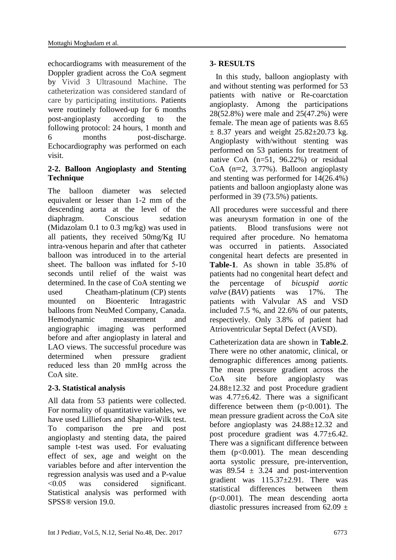echocardiograms with measurement of the Doppler gradient across the CoA segment by Vivid 3 Ultrasound Machine. The catheterization was considered standard of care by participating institutions. Patients were routinely followed-up for 6 months post-angioplasty according to the following protocol: 24 hours, 1 month and 6 months post-discharge. Echocardiography was performed on each visit.

### **2-2. Balloon Angioplasty and Stenting Technique**

The balloon diameter was selected equivalent or lesser than 1-2 mm of the descending aorta at the level of the diaphragm. Conscious sedation (Midazolam 0.1 to 0.3 mg/kg) was used in all patients, they received 50mg/Kg IU intra-venous heparin and after that catheter balloon was introduced in to the arterial sheet. The balloon was inflated for 5-10 seconds until relief of the waist was determined. In the case of CoA stenting we used Cheatham-platinum (CP) stents mounted on Bioenteric Intragastric balloons from NeuMed Company, Canada. Hemodynamic measurement and angiographic imaging was performed before and after angioplasty in lateral and LAO views. The successful procedure was determined when pressure gradient reduced less than 20 mmHg across the CoA site.

### **2-3. Statistical analysis**

All data from 53 patients were collected. For normality of quantitative variables, we have used Lilliefors and Shapiro-Wilk test. To comparison the pre and post angioplasty and stenting data, the paired sample t-test was used. For evaluating effect of sex, age and weight on the variables before and after intervention the regression analysis was used and a P-value <0.05 was considered significant. Statistical analysis was performed with SPSS® version 19.0.

### **3- RESULTS**

 In this study, balloon angioplasty with and without stenting was performed for 53 patients with native or Re-coarctation angioplasty. Among the participations 28(52.8%) were male and 25(47.2%) were female. The mean age of patients was 8.65  $\pm$  8.37 years and weight 25.82 $\pm$ 20.73 kg. Angioplasty with/without stenting was performed on 53 patients for treatment of native CoA (n=51, 96.22%) or residual CoA  $(n=2, 3.77%)$ . Balloon angioplasty and stenting was performed for 14(26.4%) patients and balloon angioplasty alone was performed in 39 (73.5%) patients.

All procedures were successful and there was aneurysm formation in one of the patients. Blood transfusions were not required after procedure. No hematoma was occurred in patients. Associated congenital heart defects are presented in **Table-1**. As shown in table 35.8% of patients had no congenital heart defect and the percentage of *bicuspid aortic valve* (*BAV*) patients was 17%. The patients with Valvular AS and VSD included 7.5 %, and 22.6% of our patents, respectively. Only 3.8% of patient had Atrioventricular Septal Defect (AVSD).

Catheterization data are shown in **Table.2**. There were no other anatomic, clinical, or demographic differences among patients. The mean pressure gradient across the CoA site before angioplasty was 24.88±12.32 and post Procedure gradient was 4.77 $\pm$ 6.42. There was a significant difference between them  $(p<0.001)$ . The mean pressure gradient across the CoA site before angioplasty was 24.88±12.32 and post procedure gradient was 4.77±6.42. There was a significant difference between them  $(p<0.001)$ . The mean descending aorta systolic pressure, pre-intervention, was  $89.54 \pm 3.24$  and post-intervention gradient was 115.37±2.91. There was statistical differences between them (p<0.001). The mean descending aorta diastolic pressures increased from  $62.09 \pm$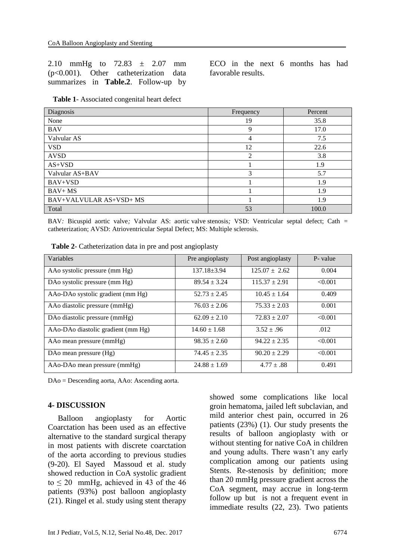2.10 mmHg to 72.83 ± 2.07 mm (p<0.001). Other catheterization data summarizes in **Table.2**. Follow-up by

ECO in the next 6 months has had favorable results.

|  | Table 1- Associated congenital heart defect |
|--|---------------------------------------------|
|--|---------------------------------------------|

| Diagnosis               | Frequency | Percent |
|-------------------------|-----------|---------|
| None                    | 19        | 35.8    |
| <b>BAV</b>              | 9         | 17.0    |
| Valvular AS             | 4         | 7.5     |
| <b>VSD</b>              | 12        | 22.6    |
| <b>AVSD</b>             | 2         | 3.8     |
| $AS+VSD$                |           | 1.9     |
| Valvular AS+BAV         | 3         | 5.7     |
| BAV+VSD                 |           | 1.9     |
| $BAV+MS$                |           | 1.9     |
| BAV+VALVULAR AS+VSD+ MS |           | 1.9     |
| Total                   | 53        | 100.0   |

BAV*:* Bicuspid aortic valve*;* Valvular AS: aortic valve stenosis*;* VSD: Ventricular septal defect; Cath *=*  catheterization; AVSD[: Atrioventricular Septal Defect; MS: Multiple sclerosis.](https://www.ncbi.nlm.nih.gov/mesh/67562831)

| Variables                                 | Pre angioplasty  | Post angioplasty  | P- value |
|-------------------------------------------|------------------|-------------------|----------|
| AAo systolic pressure (mm Hg)             | $137.18 + 3.94$  | $125.07 + 2.62$   | 0.004    |
| DA <sub>o</sub> systolic pressure (mm Hg) | $89.54 \pm 3.24$ | $115.37 \pm 2.91$ | < 0.001  |
| AAo-DAo systolic gradient (mm Hg)         | $52.73 \pm 2.45$ | $10.45 \pm 1.64$  | 0.409    |
| AAo diastolic pressure (mmHg)             | $76.03 \pm 2.06$ | $75.33 \pm 2.03$  | 0.001    |
| DA diastolic pressure (mmHg)              | $62.09 \pm 2.10$ | $72.83 \pm 2.07$  | < 0.001  |
| AAo-DAo diastolic gradient (mm Hg)        | $14.60 \pm 1.68$ | $3.52 \pm .96$    | .012     |
| AAo mean pressure (mmHg)                  | $98.35 \pm 2.60$ | $94.22 \pm 2.35$  | < 0.001  |
| DAo mean pressure (Hg)                    | $74.45 \pm 2.35$ | $90.20 \pm 2.29$  | < 0.001  |
| AAo-DAo mean pressure (mmHg)              | $24.88 \pm 1.69$ | $4.77 \pm .88$    | 0.491    |

**Table 2**- Catheterization data in pre and post angioplasty

DAo = Descending aorta, AAo: Ascending aorta.

#### **4- DISCUSSION**

 Balloon angioplasty for Aortic Coarctation has been used as an effective alternative to the standard surgical therapy in most patients with discrete coarctation of the aorta according to previous studies (9-20). El Sayed Massoud et al. study showed reduction in CoA systolic gradient to  $\leq$  20 mmHg, achieved in 43 of the 46 patients (93%) post balloon angioplasty (21). Ringel et al. study using stent therapy

showed some complications like local groin hematoma, jailed left subclavian, and mild anterior chest pain, occurred in 26 patients (23%) (1). Our study presents the results of balloon angioplasty with or without stenting for native CoA in children and young adults. There wasn't any early complication among our patients using Stents. Re-stenosis by definition; more than 20 mmHg pressure gradient across the CoA segment, may accrue in long-term follow up but is not a frequent event in immediate results (22, 23). Two patients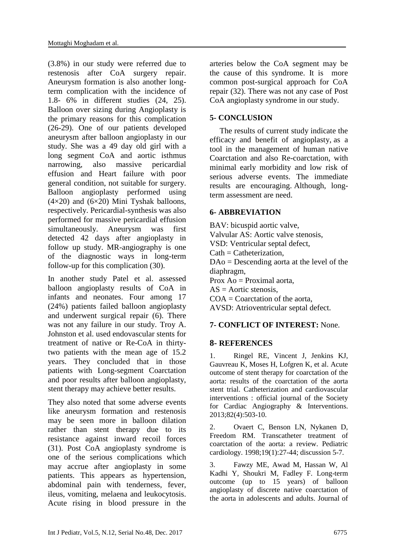(3.8%) in our study were referred due to restenosis after CoA surgery repair. Aneurysm formation is also another longterm complication with the incidence of 1.8- 6% in different studies (24, 25). Balloon over sizing during Angioplasty is the primary reasons for this complication (26-29). One of our patients developed aneurysm after balloon angioplasty in our study. She was a 49 day old girl with a long segment CoA and aortic isthmus narrowing, also massive pericardial effusion and Heart failure with poor general condition, not suitable for surgery. Balloon angioplasty performed using  $(4\times20)$  and  $(6\times20)$  Mini Tyshak balloons, respectively. Pericardial-synthesis was also performed for massive pericardial effusion simultaneously. Aneurysm was first detected 42 days after angioplasty in follow up study. MR-angiography is one of the diagnostic ways in long-term follow-up for this complication (30).

In another study Patel et al. assessed balloon angioplasty results of CoA in infants and neonates. Four among 17 (24%) patients failed balloon angioplasty and underwent surgical repair (6). There was not any failure in our study. Troy A. Johnston et al. used endovascular stents for treatment of native or Re-CoA in thirtytwo patients with the mean age of 15.2 years. They concluded that in those patients with Long-segment Coarctation and poor results after balloon angioplasty, stent therapy may achieve better results.

They also noted that some adverse events like aneurysm formation and restenosis may be seen more in balloon dilation rather than stent therapy due to its resistance against inward recoil forces (31). Post CoA angioplasty syndrome is one of the serious complications which may accrue after angioplasty in some patients. This appears as hypertension, abdominal pain with tenderness, fever, ileus, vomiting, melaena and leukocytosis. Acute rising in blood pressure in the arteries below the CoA segment may be the cause of this syndrome. It is more common post-surgical approach for CoA repair (32). There was not any case of Post CoA angioplasty syndrome in our study.

# **5- CONCLUSION**

 The results of current study indicate the efficacy and benefit of angioplasty, as a tool in the management of human native Coarctation and also Re-coarctation, with minimal early morbidity and low risk of serious adverse events. The immediate results are encouraging. Although, longterm assessment are need.

# **6- ABBREVIATION**

BAV: bicuspid aortic valve, Valvular AS: Aortic valve stenosis, VSD: Ventricular septal defect,  $Cath = Catheterization$ DAo = Descending aorta at the level of the diaphragm, Prox  $Ao = Proximal aorta$ ,  $AS =$  Aortic stenosis,  $COA =$ Coarctation of the aorta, AVSD: [Atrioventricular septal defect.](https://www.ncbi.nlm.nih.gov/mesh/67562831)

### **7- CONFLICT OF INTEREST:** None.

### **8- REFERENCES**

1. Ringel RE, Vincent J, Jenkins KJ, Gauvreau K, Moses H, Lofgren K, et al. Acute outcome of stent therapy for coarctation of the aorta: results of the coarctation of the aorta stent trial. Catheterization and cardiovascular interventions : official journal of the Society for Cardiac Angiography & Interventions. 2013;82(4):503-10.

2. Ovaert C, Benson LN, Nykanen D, Freedom RM. Transcatheter treatment of coarctation of the aorta: a review. Pediatric cardiology. 1998;19(1):27-44; discussion 5-7.

3. Fawzy ME, Awad M, Hassan W, Al Kadhi Y, Shoukri M, Fadley F. Long-term outcome (up to 15 years) of balloon angioplasty of discrete native coarctation of the aorta in adolescents and adults. Journal of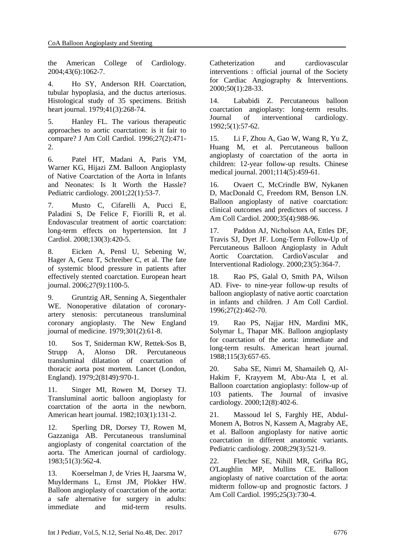the American College of Cardiology. 2004;43(6):1062-7.

4. Ho SY, Anderson RH. Coarctation, tubular hypoplasia, and the ductus arteriosus. Histological study of 35 specimens. British heart journal. 1979;41(3):268-74.

5. Hanley FL. The various therapeutic approaches to aortic coarctation: is it fair to compare? J Am Coll Cardiol. 1996;27(2):471- 2.

6. Patel HT, Madani A, Paris YM, Warner KG, Hijazi ZM. Balloon Angioplasty of Native Coarctation of the Aorta in Infants and Neonates: Is It Worth the Hassle? Pediatric cardiology. 2001;22(1):53-7.

7. Musto C, Cifarelli A, Pucci E, Paladini S, De Felice F, Fiorilli R, et al. Endovascular treatment of aortic coarctation: long-term effects on hypertension. Int J Cardiol. 2008;130(3):420-5.

8. Eicken A, Pensl U, Sebening W, Hager A, Genz T, Schreiber C, et al. The fate of systemic blood pressure in patients after effectively stented coarctation. European heart journal. 2006;27(9):1100-5.

9. Gruntzig AR, Senning A, Siegenthaler WE. Nonoperative dilatation of coronaryartery stenosis: percutaneous transluminal coronary angioplasty. The New England journal of medicine. 1979;301(2):61-8.

10. Sos T, Sniderman KW, Rettek-Sos B, Strupp A, Alonso DR. Percutaneous transluminal dilatation of coarctation of thoracic aorta post mortem. Lancet (London, England). 1979;2(8149):970-1.

11. Singer MI, Rowen M, Dorsey TJ. Transluminal aortic balloon angioplasty for coarctation of the aorta in the newborn. American heart journal. 1982;103(1):131-2.

12. Sperling DR, Dorsey TJ, Rowen M, Gazzaniga AB. Percutaneous transluminal angioplasty of congenital coarctation of the aorta. The American journal of cardiology. 1983;51(3):562-4.

13. Koerselman J, de Vries H, Jaarsma W, Muyldermans L, Ernst JM, Plokker HW. Balloon angioplasty of coarctation of the aorta: a safe alternative for surgery in adults: immediate and mid-term results. Catheterization and cardiovascular interventions : official journal of the Society for Cardiac Angiography & Interventions. 2000;50(1):28-33.

14. Lababidi Z. Percutaneous balloon coarctation angioplasty: long-term results. Journal of interventional cardiology. 1992;5(1):57-62.

15. Li F, Zhou A, Gao W, Wang R, Yu Z, Huang M, et al. Percutaneous balloon angioplasty of coarctation of the aorta in children: 12-year follow-up results. Chinese medical journal. 2001;114(5):459-61.

16. Ovaert C, McCrindle BW, Nykanen D, MacDonald C, Freedom RM, Benson LN. Balloon angioplasty of native coarctation: clinical outcomes and predictors of success. J Am Coll Cardiol. 2000;35(4):988-96.

17. Paddon AJ, Nicholson AA, Ettles DF, Travis SJ, Dyet JF. Long-Term Follow-Up of Percutaneous Balloon Angioplasty in Adult Aortic Coarctation. CardioVascular and Interventional Radiology. 2000;23(5):364-7.

18. Rao PS, Galal O, Smith PA, Wilson AD. Five- to nine-year follow-up results of balloon angioplasty of native aortic coarctation in infants and children. J Am Coll Cardiol. 1996;27(2):462-70.

19. Rao PS, Najjar HN, Mardini MK, Solymar L, Thapar MK. Balloon angioplasty for coarctation of the aorta: immediate and long-term results. American heart journal. 1988;115(3):657-65.

20. Saba SE, Nimri M, Shamaileh Q, Al-Hakim F, Krayyem M, Abu-Ata I, et al. Balloon coarctation angioplasty: follow-up of 103 patients. The Journal of invasive cardiology. 2000;12(8):402-6.

21. Massoud Iel S, Farghly HE, Abdul-Monem A, Botros N, Kassem A, Magraby AE, et al. Balloon angioplasty for native aortic coarctation in different anatomic variants. Pediatric cardiology. 2008;29(3):521-9.

22. Fletcher SE, Nihill MR, Grifka RG, O'Laughlin MP, Mullins CE. Balloon angioplasty of native coarctation of the aorta: midterm follow-up and prognostic factors. J Am Coll Cardiol. 1995;25(3):730-4.